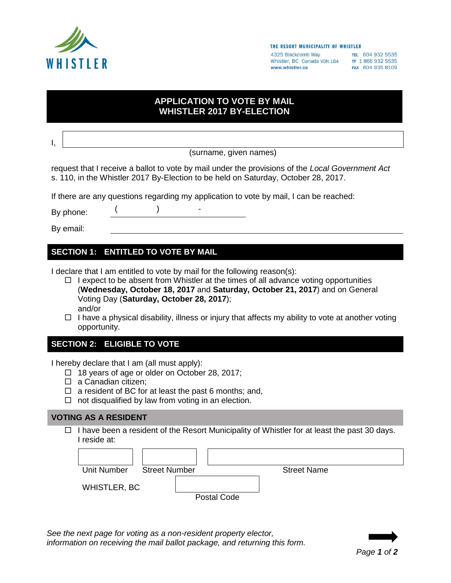

#### THE RESORT MUNICIPALITY OF WHISTLER

4325 Blackcomb Way TEL 604 932 5535 Whistler, BC Canada VON 1B4 TF 1866 932 5535 www.whistler.ca

FAX 604 935 8109

# **APPLICATION TO VOTE BY MAIL WHISTLER 2017 BY-ELECTION**

I, (surname, given names) request that I receive a ballot to vote by mail under the provisions of the *Local Government Act*  s. 110, in the Whistler 2017 By-Election to be held on Saturday, October 28, 2017. If there are any questions regarding my application to vote by mail, I can be reached: By phone:  $($  ) -By email:

# **SECTION 1: ENTITLED TO VOTE BY MAIL**

I declare that I am entitled to vote by mail for the following reason(s):

- $\Box$  I expect to be absent from Whistler at the times of all advance voting opportunities (**Wednesday, October 18, 2017** and **Saturday, October 21, 2017**) and on General Voting Day (**Saturday, October 28, 2017**); and/or
- $\Box$  I have a physical disability, illness or injury that affects my ability to vote at another voting opportunity.

## **SECTION 2: ELIGIBLE TO VOTE**

I hereby declare that I am (all must apply):

- □ 18 years of age or older on October 28, 2017;
- $\Box$  a Canadian citizen:
- $\Box$  a resident of BC for at least the past 6 months; and,
- $\Box$  not disqualified by law from voting in an election.

## **VOTING AS A RESIDENT**

 $\Box$  I have been a resident of the Resort Municipality of Whistler for at least the past 30 days. I reside at:

| Unit Number<br><b>Street Number</b> |             | <b>Street Name</b> |  |
|-------------------------------------|-------------|--------------------|--|
| WHISTLER, BC                        |             |                    |  |
|                                     | Postal Code |                    |  |

*See the next page for voting as a non-resident property elector, information on receiving the mail ballot package, and returning this form.*